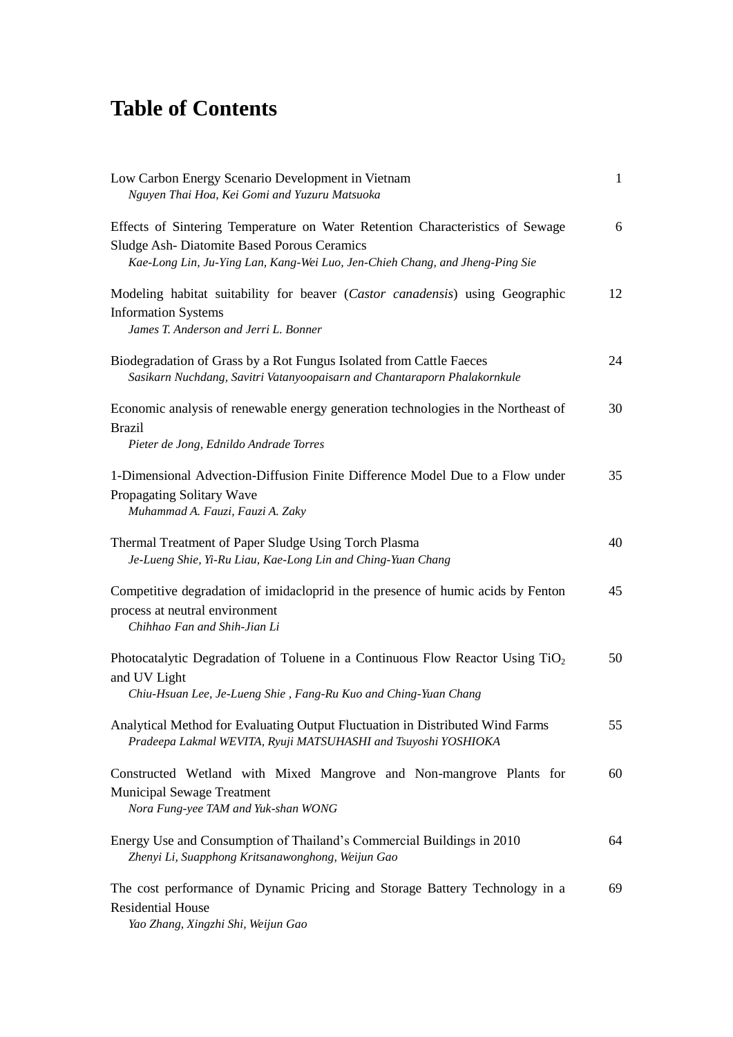## **Table of Contents**

| Low Carbon Energy Scenario Development in Vietnam<br>Nguyen Thai Hoa, Kei Gomi and Yuzuru Matsuoka                                                                                                                 | $\mathbf{1}$ |
|--------------------------------------------------------------------------------------------------------------------------------------------------------------------------------------------------------------------|--------------|
| Effects of Sintering Temperature on Water Retention Characteristics of Sewage<br><b>Sludge Ash-Diatomite Based Porous Ceramics</b><br>Kae-Long Lin, Ju-Ying Lan, Kang-Wei Luo, Jen-Chieh Chang, and Jheng-Ping Sie | 6            |
| Modeling habitat suitability for beaver (Castor canadensis) using Geographic<br><b>Information Systems</b><br>James T. Anderson and Jerri L. Bonner                                                                | 12           |
| Biodegradation of Grass by a Rot Fungus Isolated from Cattle Faeces<br>Sasikarn Nuchdang, Savitri Vatanyoopaisarn and Chantaraporn Phalakornkule                                                                   | 24           |
| Economic analysis of renewable energy generation technologies in the Northeast of<br><b>Brazil</b><br>Pieter de Jong, Ednildo Andrade Torres                                                                       | 30           |
| 1-Dimensional Advection-Diffusion Finite Difference Model Due to a Flow under<br>Propagating Solitary Wave<br>Muhammad A. Fauzi, Fauzi A. Zaky                                                                     | 35           |
| Thermal Treatment of Paper Sludge Using Torch Plasma<br>Je-Lueng Shie, Yi-Ru Liau, Kae-Long Lin and Ching-Yuan Chang                                                                                               | 40           |
| Competitive degradation of imidacloprid in the presence of humic acids by Fenton<br>process at neutral environment<br>Chihhao Fan and Shih-Jian Li                                                                 | 45           |
| Photocatalytic Degradation of Toluene in a Continuous Flow Reactor Using TiO <sub>2</sub><br>and UV Light<br>Chiu-Hsuan Lee, Je-Lueng Shie, Fang-Ru Kuo and Ching-Yuan Chang                                       | 50           |
| Analytical Method for Evaluating Output Fluctuation in Distributed Wind Farms<br>Pradeepa Lakmal WEVITA, Ryuji MATSUHASHI and Tsuyoshi YOSHIOKA                                                                    | 55           |
| Constructed Wetland with Mixed Mangrove and Non-mangrove Plants for<br><b>Municipal Sewage Treatment</b><br>Nora Fung-yee TAM and Yuk-shan WONG                                                                    | 60           |
| Energy Use and Consumption of Thailand's Commercial Buildings in 2010<br>Zhenyi Li, Suapphong Kritsanawonghong, Weijun Gao                                                                                         | 64           |
| The cost performance of Dynamic Pricing and Storage Battery Technology in a<br><b>Residential House</b><br>Yao Zhang, Xingzhi Shi, Weijun Gao                                                                      | 69           |